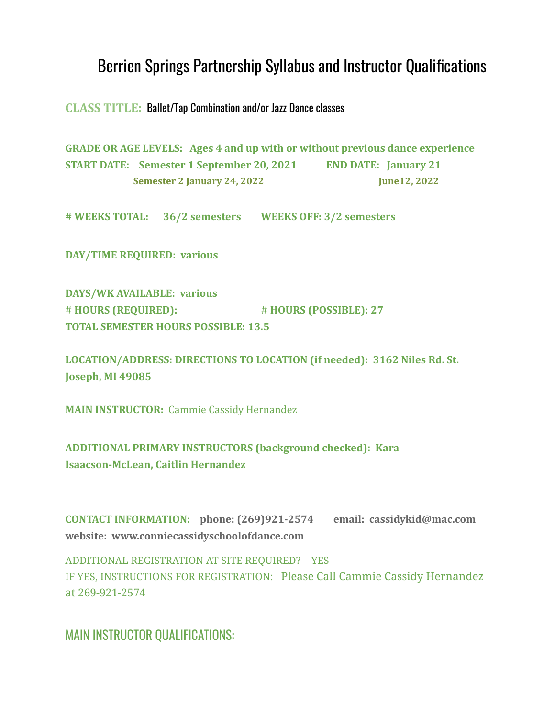# Berrien Springs Partnership Syllabus and Instructor Qualifications

**CLASS TITLE:** Ballet/Tap Combination and/or Jazz Dance classes

**GRADE OR AGE LEVELS: Ages 4 and up with or without previous dance experience START DATE: Semester 1 September 20, 2021 END DATE: January 21 Semester 2 January 24, 2022 June12, 2022**

**# WEEKS TOTAL: 36/2 semesters WEEKS OFF: 3/2 semesters**

**DAY/TIME REQUIRED: various**

**DAYS/WK AVAILABLE: various** # **HOURS (REQUIRED):** # **HOURS (POSSIBLE): 27 TOTAL SEMESTER HOURS POSSIBLE: 13.5**

**LOCATION/ADDRESS: DIRECTIONS TO LOCATION (if needed): 3162 Niles Rd. St. Joseph, MI 49085**

**MAIN INSTRUCTOR:** Cammie Cassidy Hernandez

**ADDITIONAL PRIMARY INSTRUCTORS (background checked): Kara Isaacson-McLean, Caitlin Hernandez**

**CONTACT INFORMATION: phone: (269)921-2574 email: cassidykid@mac.com website: www.conniecassidyschoolofdance.com**

ADDITIONAL REGISTRATION AT SITE REQUIRED? YES IF YES, INSTRUCTIONS FOR REGISTRATION: Please Call Cammie Cassidy Hernandez at 269-921-2574

MAIN INSTRUCTOR QUALIFICATIONS: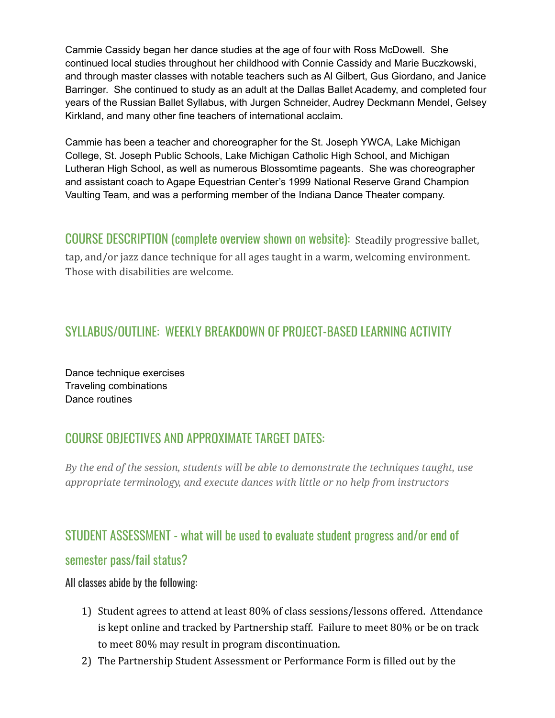Cammie Cassidy began her dance studies at the age of four with Ross McDowell. She continued local studies throughout her childhood with Connie Cassidy and Marie Buczkowski, and through master classes with notable teachers such as Al Gilbert, Gus Giordano, and Janice Barringer. She continued to study as an adult at the Dallas Ballet Academy, and completed four years of the Russian Ballet Syllabus, with Jurgen Schneider, Audrey Deckmann Mendel, Gelsey Kirkland, and many other fine teachers of international acclaim.

Cammie has been a teacher and choreographer for the St. Joseph YWCA, Lake Michigan College, St. Joseph Public Schools, Lake Michigan Catholic High School, and Michigan Lutheran High School, as well as numerous Blossomtime pageants. She was choreographer and assistant coach to Agape Equestrian Center's 1999 National Reserve Grand Champion Vaulting Team, and was a performing member of the Indiana Dance Theater company.

COURSE DESCRIPTION (complete overview shown on website): Steadily progressive ballet, tap, and/or jazz dance technique for all ages taught in a warm, welcoming environment. Those with disabilities are welcome.

## SYLLABUS/OUTLINE: WEEKLY BREAKDOWN OF PROJECT-BASED LEARNING ACTIVITY

Dance technique exercises Traveling combinations Dance routines

### COURSE OBJECTIVES AND APPROXIMATE TARGET DATES:

*By the end of the session, students will be able to demonstrate the techniques taught, use appropriate terminology, and execute dances with little or no help from instructors*

# STUDENT ASSESSMENT - what will be used to evaluate student progress and/or end of

#### semester pass/fail status?

#### All classes abide by the following:

- 1) Student agrees to attend at least 80% of class sessions/lessons offered. Attendance is kept online and tracked by Partnership staff. Failure to meet 80% or be on track to meet 80% may result in program discontinuation.
- 2) The Partnership Student Assessment or Performance Form is filled out by the